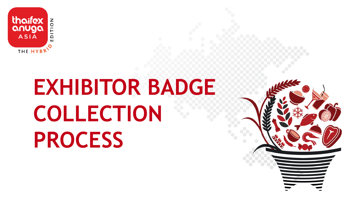

# **EXHIBITOR BADGE COLLECTION PROCESS**

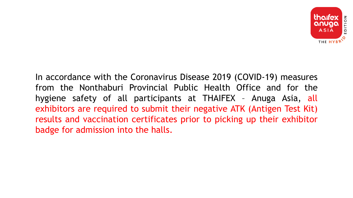

In accordance with the Coronavirus Disease 2019 (COVID-19) measures from the Nonthaburi Provincial Public Health Office and for the hygiene safety of all participants at THAIFEX – Anuga Asia, all exhibitors are required to submit their negative ATK (Antigen Test Kit) results and vaccination certificates prior to picking up their exhibitor badge for admission into the halls.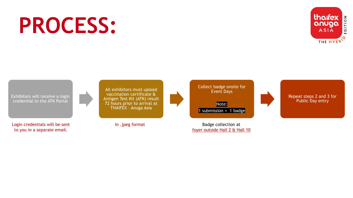# **PROCESS:**



Exhibitors will receive a login credential to the ATK Portal

Login credentials will be sent to you in a separate email.

All exhibitors must upload vaccination certificate & Antigen Test Kit (ATK) result 72 hours prior to arrival at THAIFEX – Anuga Asia

In .jpeg format



1 submission =  $1$  badge

Badge collection at foyer outside Hall 2 & Hall 10

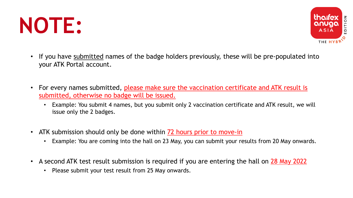



- If you have submitted names of the badge holders previously, these will be pre-populated into your ATK Portal account.
- For every names submitted, please make sure the vaccination certificate and ATK result is submitted, otherwise no badge will be issued.
	- Example: You submit 4 names, but you submit only 2 vaccination certificate and ATK result, we will issue only the 2 badges.
- ATK submission should only be done within 72 hours prior to move-in
	- Example: You are coming into the hall on 23 May, you can submit your results from 20 May onwards.
- A second ATK test result submission is required if you are entering the hall on 28 May 2022
	- Please submit your test result from 25 May onwards.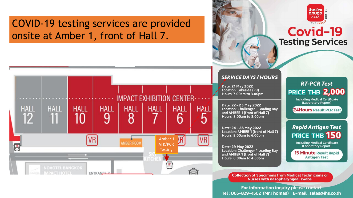## **COVID-19 testing services are provided** onsite at Amber 1, front of Hall 7.





#### **SERVICE DAYS / HOURS**

Date: 21 May 2022 Location: Lakeside (P9) Hours: 7.00am to 3.00pm

Date: 22 - 23 May 2022 **Location: Challenger 1 Loading Bay** and AMBER 1 (front of Hall 7) Hours: 8.00am to 8.00pm

Date: 24 - 28 May 2022 Location: AMBER 1 (front of Hall 7) Hours: 9.00am to 6.00pm

Date: 29 May 2022 **Location: Challenger 1 Loading Bay** and AMBER 1 (front of Hall 7) Hours: 8.00am to 4.00pm

### **RT-PCR Test PRICE THB 2,000**

**Including Medical Certificate** (Laboratory Report)

**24Hours Result PCR Test** 

### **Rapid Antigen Test** PRICE THB 150

**Including Medical Certificate** (Laboratory Report)

**15 Minute Result Rapid Antigen Test** 

**Collection of Specimens from Medical Technicians or** Nurses with nasopharyngeal swabs.

For information inquiry please contact Tel: 065-829-4562 (Mr. Thomas) E-mail: sales@ihs.co.th